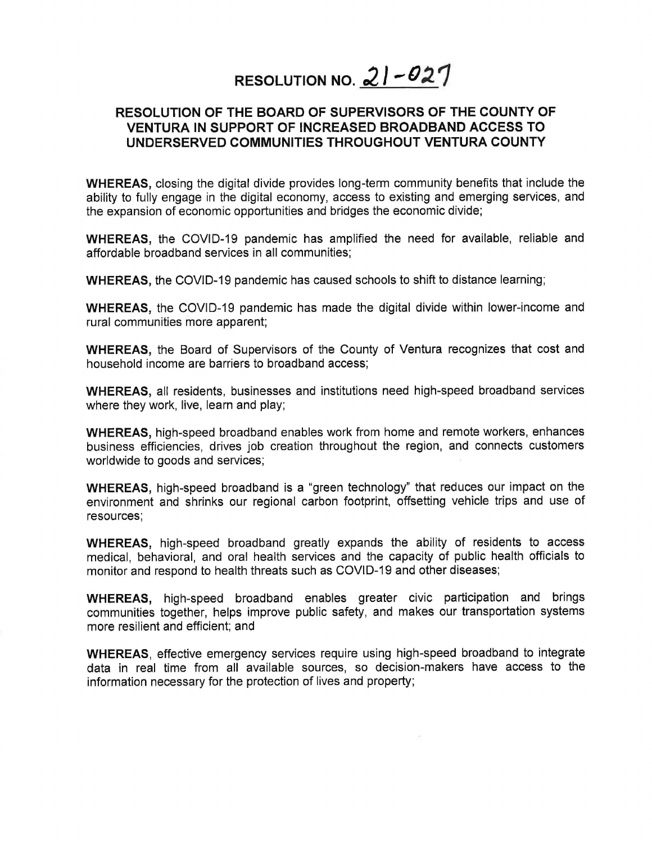## **RESOLUTION NO. 21-027**

## **RESOLUTION OF THE BOARD OF SUPERVISORS OF THE COUNTY OF VENTURA IN SUPPORT OF INCREASED BROADBAND ACCESS TO UNDERSERVED COMMUNITIES THROUGHOUT VENTURA COUNTY**

**WHEREAS,** closing the digital divide provides long-term community benefits that include the ability to fully engage in the digital economy, access to existing and emerging services, and the expansion of economic opportunities and bridges the economic divide;

**WHEREAS,** the COVID-19 pandemic has amplified the need for available, reliable and affordable broadband services in all communities;

**WHEREAS,** the COVID-19 pandemic has caused schools to shift to distance learning;

**WHEREAS,** the COVID-19 pandemic has made the digital divide within lower-income and rural communities more apparent;

**WHEREAS,** the Board of Supervisors of the County of Ventura recognizes that cost and household income are barriers to broadband access;

**WHEREAS,** all residents, businesses and institutions need high-speed broadband services where they work, live, learn and play;

**WHEREAS,** high-speed broadband enables work from home and remote workers, enhances business efficiencies, drives job creation throughout the region, and connects customers worldwide to goods and services;

**WHEREAS,** high-speed broadband is a "green technology" that reduces our impact on the environment and shrinks our regional carbon footprint, offsetting vehicle trips and use of resources;

**WHEREAS,** high-speed broadband greatly expands the ability of residents to access medical, behavioral, and oral health services and the capacity of public health officials to monitor and respond to health threats such as COVID-19 and other diseases;

**WHEREAS,** high-speed broadband enables greater civic participation and brings communities together, helps improve public safety, and makes our transportation systems more resilient and efficient; and

**WHEREAS,** effective emergency services require using high-speed broadband to integrate data in real time from all available sources, so decision-makers have access to the information necessary for the protection of lives and property;